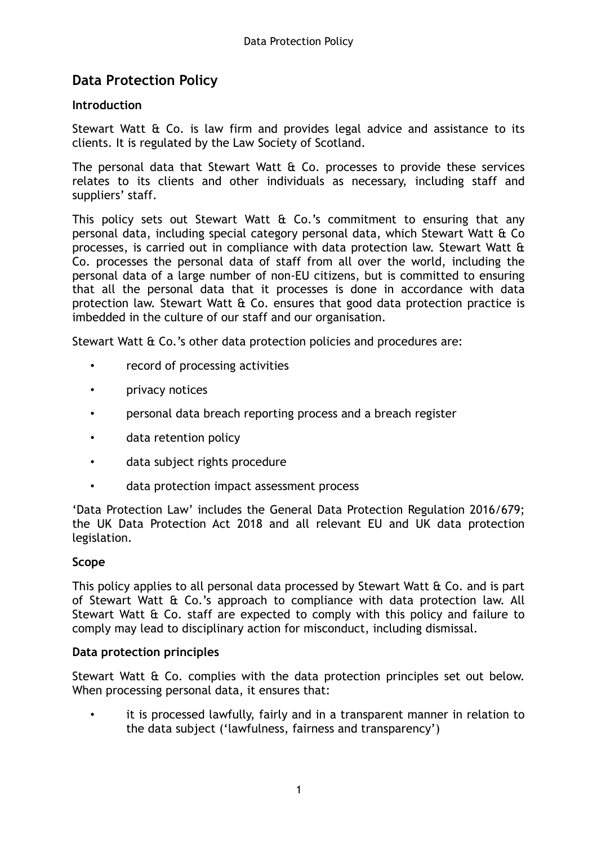# **Data Protection Policy**

## **Introduction**

Stewart Watt & Co. is law firm and provides legal advice and assistance to its clients. It is regulated by the Law Society of Scotland.

The personal data that Stewart Watt & Co. processes to provide these services relates to its clients and other individuals as necessary, including staff and suppliers' staff.

This policy sets out Stewart Watt & Co.'s commitment to ensuring that any personal data, including special category personal data, which Stewart Watt & Co processes, is carried out in compliance with data protection law. Stewart Watt & Co. processes the personal data of staff from all over the world, including the personal data of a large number of non-EU citizens, but is committed to ensuring that all the personal data that it processes is done in accordance with data protection law. Stewart Watt & Co. ensures that good data protection practice is imbedded in the culture of our staff and our organisation.

Stewart Watt & Co.'s other data protection policies and procedures are:

- record of processing activities
- privacy notices
- personal data breach reporting process and a breach register
- data retention policy
- data subject rights procedure
- data protection impact assessment process

'Data Protection Law' includes the General Data Protection Regulation 2016/679; the UK Data Protection Act 2018 and all relevant EU and UK data protection legislation.

### **Scope**

This policy applies to all personal data processed by Stewart Watt & Co. and is part of Stewart Watt & Co.'s approach to compliance with data protection law. All Stewart Watt & Co. staff are expected to comply with this policy and failure to comply may lead to disciplinary action for misconduct, including dismissal.

### **Data protection principles**

Stewart Watt & Co. complies with the data protection principles set out below. When processing personal data, it ensures that:

• it is processed lawfully, fairly and in a transparent manner in relation to the data subject ('lawfulness, fairness and transparency')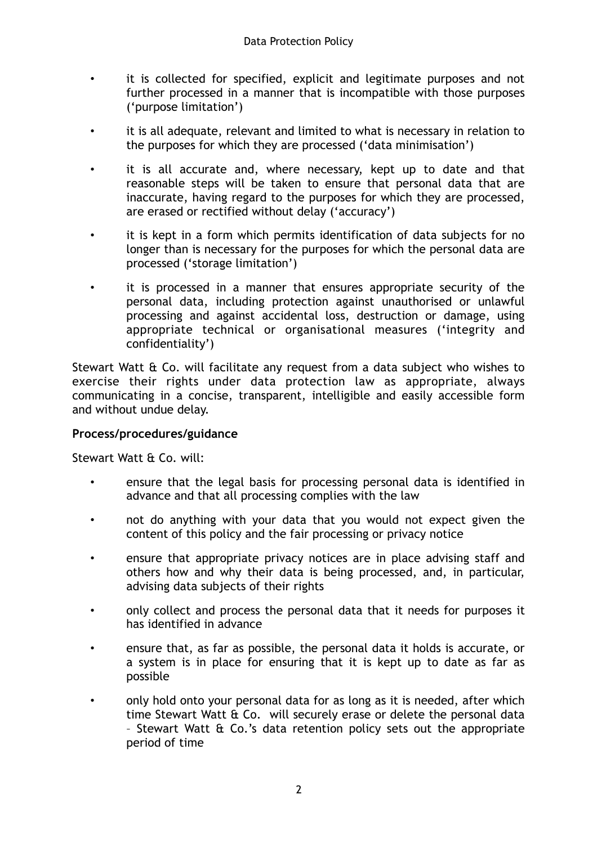- it is collected for specified, explicit and legitimate purposes and not further processed in a manner that is incompatible with those purposes ('purpose limitation')
- it is all adequate, relevant and limited to what is necessary in relation to the purposes for which they are processed ('data minimisation')
- it is all accurate and, where necessary, kept up to date and that reasonable steps will be taken to ensure that personal data that are inaccurate, having regard to the purposes for which they are processed, are erased or rectified without delay ('accuracy')
- it is kept in a form which permits identification of data subjects for no longer than is necessary for the purposes for which the personal data are processed ('storage limitation')
- it is processed in a manner that ensures appropriate security of the personal data, including protection against unauthorised or unlawful processing and against accidental loss, destruction or damage, using appropriate technical or organisational measures ('integrity and confidentiality')

Stewart Watt & Co. will facilitate any request from a data subject who wishes to exercise their rights under data protection law as appropriate, always communicating in a concise, transparent, intelligible and easily accessible form and without undue delay.

# **Process/procedures/guidance**

Stewart Watt & Co. will:

- ensure that the legal basis for processing personal data is identified in advance and that all processing complies with the law
- not do anything with your data that you would not expect given the content of this policy and the fair processing or privacy notice
- ensure that appropriate privacy notices are in place advising staff and others how and why their data is being processed, and, in particular, advising data subjects of their rights
- only collect and process the personal data that it needs for purposes it has identified in advance
- ensure that, as far as possible, the personal data it holds is accurate, or a system is in place for ensuring that it is kept up to date as far as possible
- only hold onto your personal data for as long as it is needed, after which time Stewart Watt & Co. will securely erase or delete the personal data – Stewart Watt & Co.'s data retention policy sets out the appropriate period of time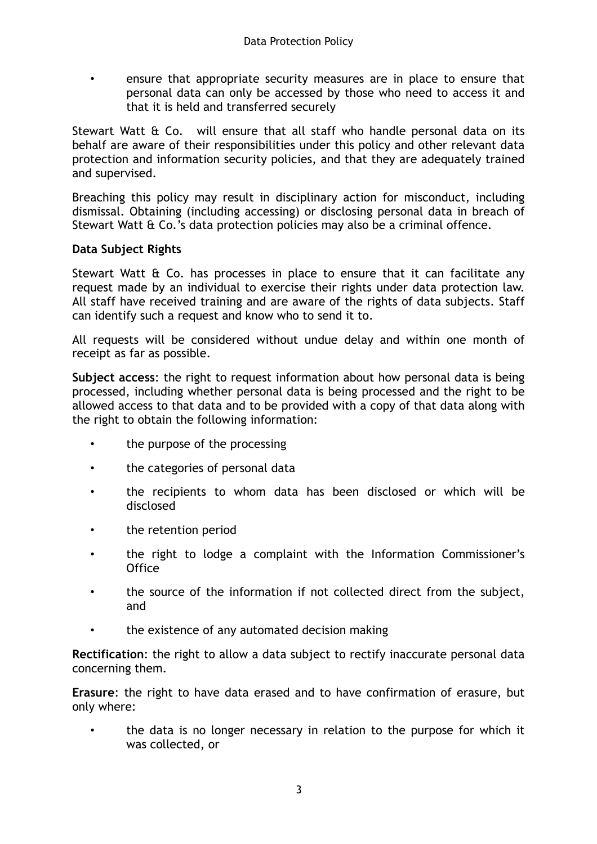• ensure that appropriate security measures are in place to ensure that personal data can only be accessed by those who need to access it and that it is held and transferred securely

Stewart Watt & Co. will ensure that all staff who handle personal data on its behalf are aware of their responsibilities under this policy and other relevant data protection and information security policies, and that they are adequately trained and supervised.

Breaching this policy may result in disciplinary action for misconduct, including dismissal. Obtaining (including accessing) or disclosing personal data in breach of Stewart Watt & Co.'s data protection policies may also be a criminal offence.

## **Data Subject Rights**

Stewart Watt  $\theta$  Co. has processes in place to ensure that it can facilitate any request made by an individual to exercise their rights under data protection law. All staff have received training and are aware of the rights of data subjects. Staff can identify such a request and know who to send it to.

All requests will be considered without undue delay and within one month of receipt as far as possible.

**Subject access**: the right to request information about how personal data is being processed, including whether personal data is being processed and the right to be allowed access to that data and to be provided with a copy of that data along with the right to obtain the following information:

- the purpose of the processing
- the categories of personal data
- the recipients to whom data has been disclosed or which will be disclosed
- the retention period
- the right to lodge a complaint with the Information Commissioner's **Office**
- the source of the information if not collected direct from the subject, and
- the existence of any automated decision making

**Rectification**: the right to allow a data subject to rectify inaccurate personal data concerning them.

**Erasure**: the right to have data erased and to have confirmation of erasure, but only where:

• the data is no longer necessary in relation to the purpose for which it was collected, or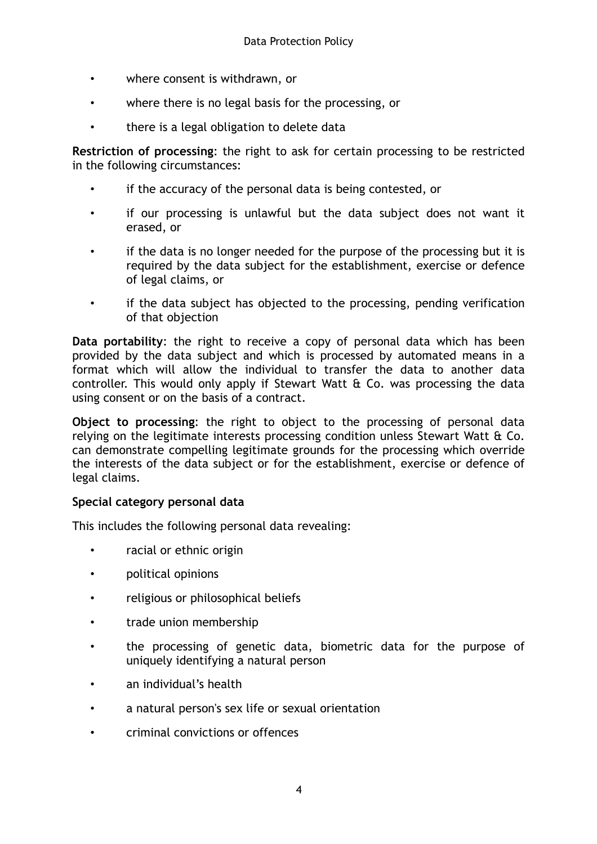- where consent is withdrawn, or
- where there is no legal basis for the processing, or
- there is a legal obligation to delete data

**Restriction of processing**: the right to ask for certain processing to be restricted in the following circumstances:

- if the accuracy of the personal data is being contested, or
- if our processing is unlawful but the data subject does not want it erased, or
- if the data is no longer needed for the purpose of the processing but it is required by the data subject for the establishment, exercise or defence of legal claims, or
- if the data subject has objected to the processing, pending verification of that objection

**Data portability**: the right to receive a copy of personal data which has been provided by the data subject and which is processed by automated means in a format which will allow the individual to transfer the data to another data controller. This would only apply if Stewart Watt & Co. was processing the data using consent or on the basis of a contract.

**Object to processing**: the right to object to the processing of personal data relying on the legitimate interests processing condition unless Stewart Watt & Co. can demonstrate compelling legitimate grounds for the processing which override the interests of the data subject or for the establishment, exercise or defence of legal claims.

### **Special category personal data**

This includes the following personal data revealing:

- racial or ethnic origin
- political opinions
- religious or philosophical beliefs
- trade union membership
- the processing of genetic data, biometric data for the purpose of uniquely identifying a natural person
- an individual's health
- a natural person's sex life or sexual orientation
- criminal convictions or offences